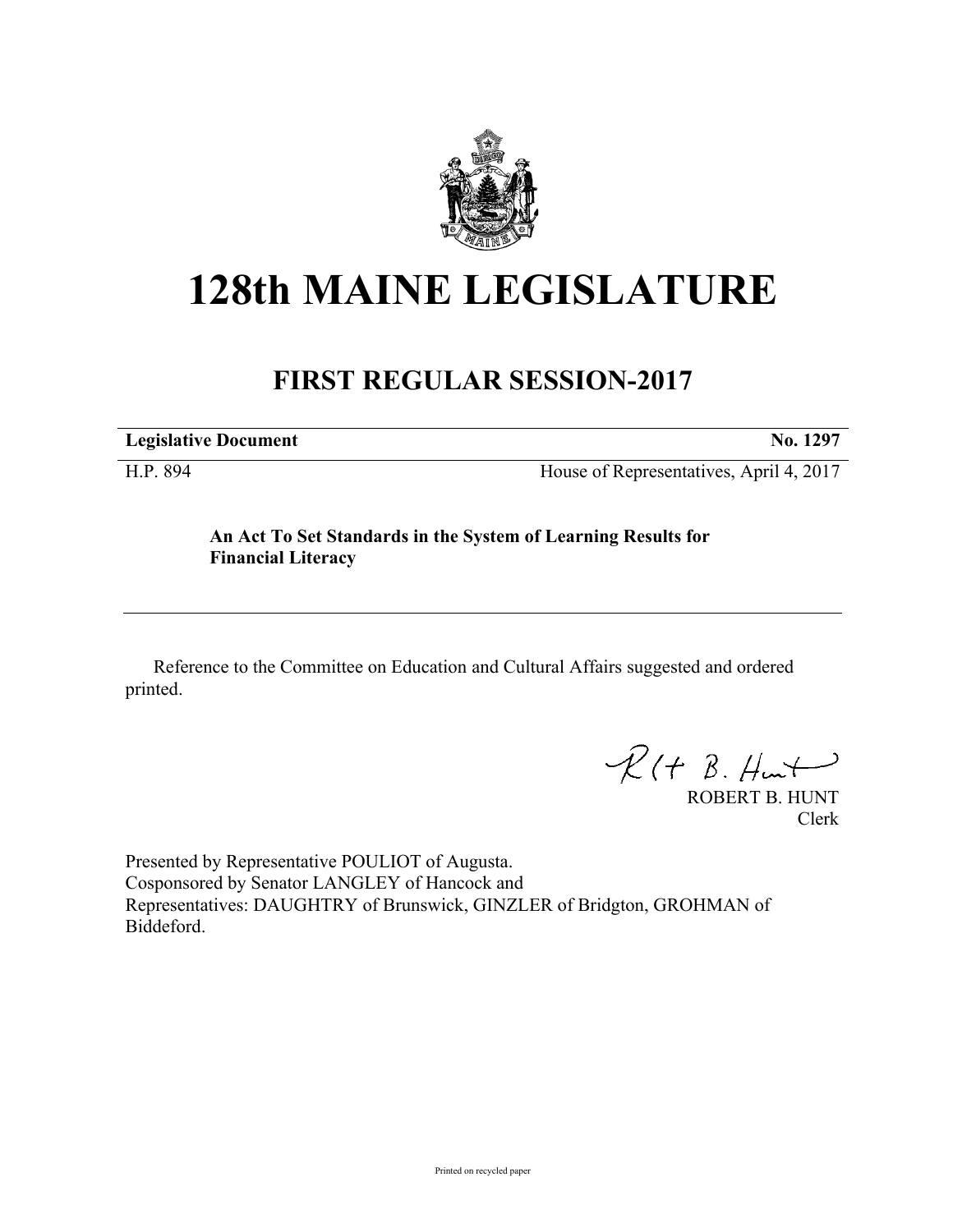

## **128th MAINE LEGISLATURE**

## **FIRST REGULAR SESSION-2017**

**Legislative Document No. 1297**

H.P. 894 House of Representatives, April 4, 2017

**An Act To Set Standards in the System of Learning Results for Financial Literacy**

Reference to the Committee on Education and Cultural Affairs suggested and ordered printed.

 $\mathcal{R}(t \; \mathcal{B}, \mathcal{H}_{\mathsf{int}})$ 

ROBERT B. HUNT Clerk

Presented by Representative POULIOT of Augusta. Cosponsored by Senator LANGLEY of Hancock and Representatives: DAUGHTRY of Brunswick, GINZLER of Bridgton, GROHMAN of Biddeford.